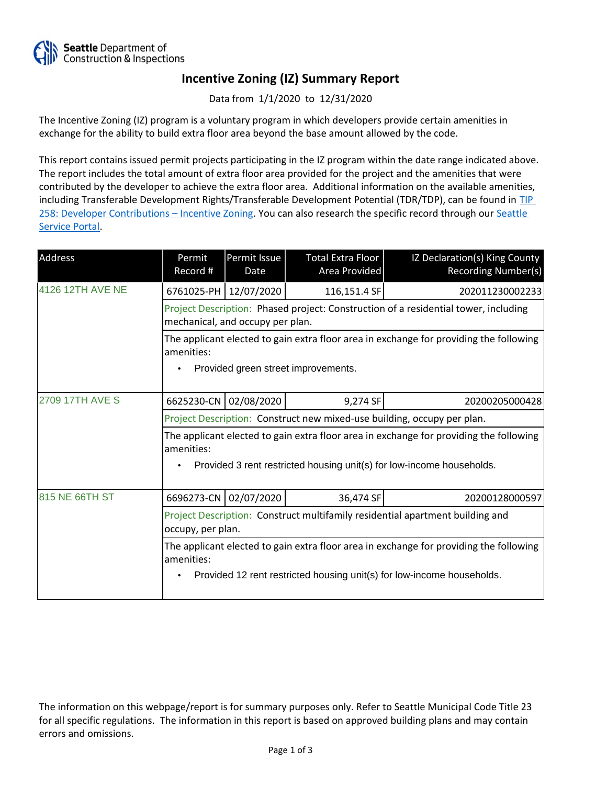

## **Incentive Zoning (IZ) Summary Report**

Data from 1/1/2020 to 12/31/2020

The Incentive Zoning (IZ) program is a voluntary program in which developers provide certain amenities in exchange for the ability to build extra floor area beyond the base amount allowed by the code.

This report contains issued permit projects participating in the IZ program within the date range indicated above. The report includes the total amount of extra floor area provided for the project and the amenities that were contributed by the developer to achieve the extra floor area. Additional information on the available amenities, including Transferable Development Rights/Transferable Development Potential (TDR/TDP), can be found in [TIP](http://www.seattle.gov/DPD/Publications/CAM/Tip258.pdf)  [258: Developer Contributions](http://www.seattle.gov/DPD/Publications/CAM/Tip258.pdf) [–](http://www.seattle.gov/DPD/Publications/CAM/Tip258.pdf) [Incentive Zoning.](http://www.seattle.gov/DPD/Publications/CAM/Tip258.pdf) You can also research the specific record through our [Seattle](https://cosaccela.seattle.gov/portal/welcome.aspx)  [Service Portal](https://cosaccela.seattle.gov/portal/welcome.aspx).

| Address                | Permit<br>Record #                                                                                                                                                             | Permit Issue<br>Date                                                                                                          | Total Extra Floor<br>Area Provided | IZ Declaration(s) King County<br>Recording Number(s) |  |  |  |
|------------------------|--------------------------------------------------------------------------------------------------------------------------------------------------------------------------------|-------------------------------------------------------------------------------------------------------------------------------|------------------------------------|------------------------------------------------------|--|--|--|
| 4126 12TH AVE NE       |                                                                                                                                                                                | 6761025-PH 12/07/2020                                                                                                         | 116,151.4 SF                       | 202011230002233                                      |  |  |  |
|                        | Project Description: Phased project: Construction of a residential tower, including<br>mechanical, and occupy per plan.                                                        |                                                                                                                               |                                    |                                                      |  |  |  |
|                        | amenities:                                                                                                                                                                     | The applicant elected to gain extra floor area in exchange for providing the following<br>Provided green street improvements. |                                    |                                                      |  |  |  |
| <b>2709 17TH AVE S</b> | 6625230-CN                                                                                                                                                                     | 02/08/2020                                                                                                                    | 9,274 SF                           | 20200205000428                                       |  |  |  |
|                        | Project Description: Construct new mixed-use building, occupy per plan.                                                                                                        |                                                                                                                               |                                    |                                                      |  |  |  |
|                        | The applicant elected to gain extra floor area in exchange for providing the following<br>amenities:<br>Provided 3 rent restricted housing unit(s) for low-income households.  |                                                                                                                               |                                    |                                                      |  |  |  |
| 815 NE 66TH ST         | 6696273-CN                                                                                                                                                                     | 02/07/2020                                                                                                                    | 36,474 SF                          | 20200128000597                                       |  |  |  |
|                        | Project Description: Construct multifamily residential apartment building and<br>occupy, per plan.                                                                             |                                                                                                                               |                                    |                                                      |  |  |  |
|                        | The applicant elected to gain extra floor area in exchange for providing the following<br>amenities:<br>Provided 12 rent restricted housing unit(s) for low-income households. |                                                                                                                               |                                    |                                                      |  |  |  |

The information on this webpage/report is for summary purposes only. Refer to Seattle Municipal Code Title 23 for all specific regulations. The information in this report is based on approved building plans and may contain errors and omissions.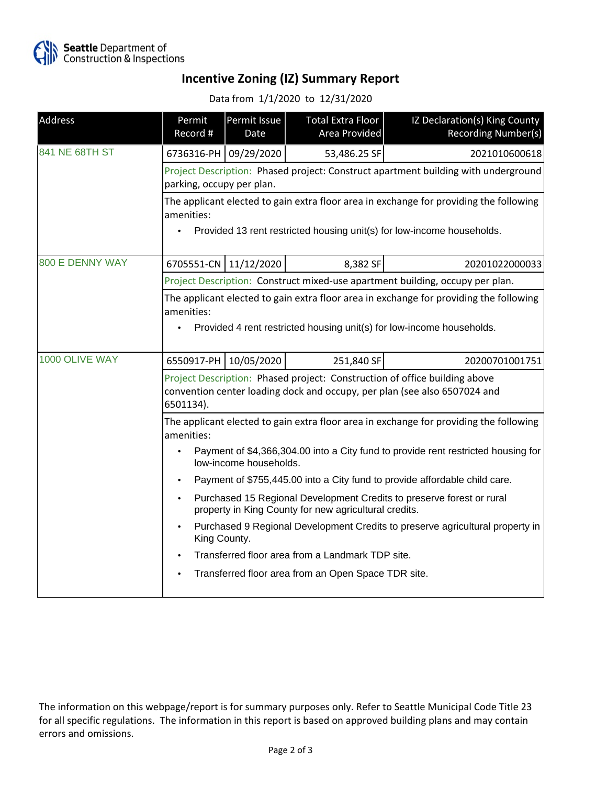

## **Incentive Zoning (IZ) Summary Report**

Data from 1/1/2020 to 12/31/2020

| Address                | Permit<br>Record #                                                                                                                                                             | Permit Issue<br>Date  | <b>Total Extra Floor</b><br>Area Provided | IZ Declaration(s) King County<br><b>Recording Number(s)</b> |  |  |
|------------------------|--------------------------------------------------------------------------------------------------------------------------------------------------------------------------------|-----------------------|-------------------------------------------|-------------------------------------------------------------|--|--|
| 841 NE 68TH ST         |                                                                                                                                                                                | 6736316-PH 09/29/2020 | 53,486.25 SF                              | 2021010600618                                               |  |  |
|                        | Project Description: Phased project: Construct apartment building with underground<br>parking, occupy per plan.                                                                |                       |                                           |                                                             |  |  |
|                        | The applicant elected to gain extra floor area in exchange for providing the following<br>amenities:<br>Provided 13 rent restricted housing unit(s) for low-income households. |                       |                                           |                                                             |  |  |
| <b>800 E DENNY WAY</b> |                                                                                                                                                                                | 6705551-CN 11/12/2020 | 8,382 SF                                  | 20201022000033                                              |  |  |
|                        | Project Description: Construct mixed-use apartment building, occupy per plan.                                                                                                  |                       |                                           |                                                             |  |  |
|                        | The applicant elected to gain extra floor area in exchange for providing the following<br>amenities:<br>Provided 4 rent restricted housing unit(s) for low-income households.  |                       |                                           |                                                             |  |  |
| 1000 OLIVE WAY         | 6550917-PH                                                                                                                                                                     | 10/05/2020            | 251,840 SF                                | 20200701001751                                              |  |  |
|                        | Project Description: Phased project: Construction of office building above<br>convention center loading dock and occupy, per plan (see also 6507024 and<br>6501134).           |                       |                                           |                                                             |  |  |
|                        | The applicant elected to gain extra floor area in exchange for providing the following<br>amenities:                                                                           |                       |                                           |                                                             |  |  |
|                        | Payment of \$4,366,304.00 into a City fund to provide rent restricted housing for<br>low-income households.                                                                    |                       |                                           |                                                             |  |  |
|                        | Payment of \$755,445.00 into a City fund to provide affordable child care.                                                                                                     |                       |                                           |                                                             |  |  |
|                        | Purchased 15 Regional Development Credits to preserve forest or rural<br>٠<br>property in King County for new agricultural credits.                                            |                       |                                           |                                                             |  |  |
|                        | Purchased 9 Regional Development Credits to preserve agricultural property in<br>King County.                                                                                  |                       |                                           |                                                             |  |  |
|                        | Transferred floor area from a Landmark TDP site.                                                                                                                               |                       |                                           |                                                             |  |  |
|                        | Transferred floor area from an Open Space TDR site.                                                                                                                            |                       |                                           |                                                             |  |  |